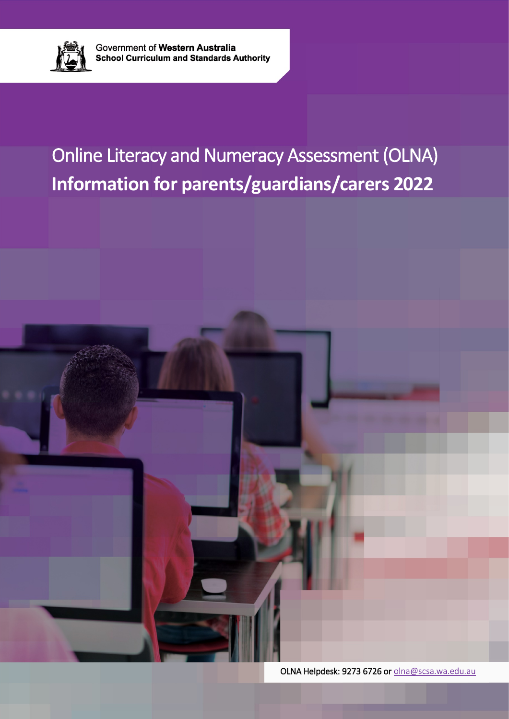

# Online Literacy and Numeracy Assessment (OLNA) **Information for parents/guardians/carers 2022**



OLNA Helpdesk: 9273 6726 o[r olna@scsa.wa.edu.au](mailto:olna@scsa.wa.edu.au)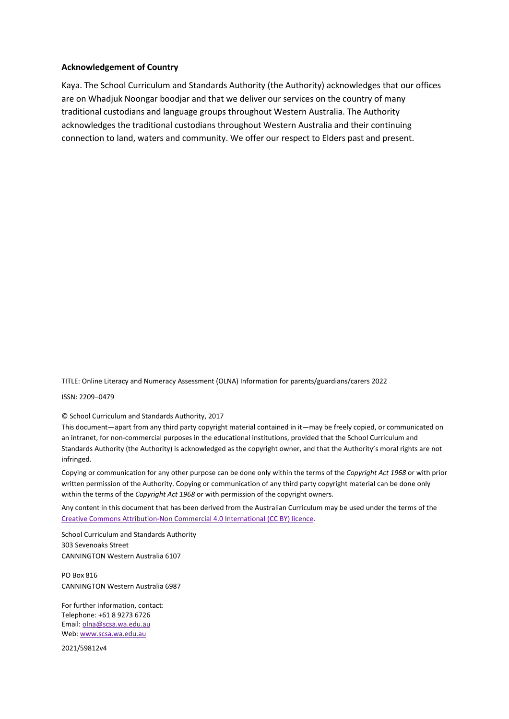#### **Acknowledgement of Country**

Kaya. The School Curriculum and Standards Authority (the Authority) acknowledges that our offices are on Whadjuk Noongar boodjar and that we deliver our services on the country of many traditional custodians and language groups throughout Western Australia. The Authority acknowledges the traditional custodians throughout Western Australia and their continuing connection to land, waters and community. We offer our respect to Elders past and present.

TITLE: Online Literacy and Numeracy Assessment (OLNA) Information for parents/guardians/carers 2022

ISSN: 2209–0479

© School Curriculum and Standards Authority, 2017

This document—apart from any third party copyright material contained in it—may be freely copied, or communicated on an intranet, for non-commercial purposes in the educational institutions, provided that the School Curriculum and Standards Authority (the Authority) is acknowledged as the copyright owner, and that the Authority's moral rights are not infringed.

Copying or communication for any other purpose can be done only within the terms of the *Copyright Act 1968* or with prior written permission of the Authority. Copying or communication of any third party copyright material can be done only within the terms of the *Copyright Act 1968* or with permission of the copyright owners.

Any content in this document that has been derived from the Australian Curriculum may be used under the terms of the [Creative Commons Attribution-Non Commercial 4.0 International \(CC BY\) licence.](https://creativecommons.org/licenses/by-nd/4.0/)

School Curriculum and Standards Authority 303 Sevenoaks Street CANNINGTON Western Australia 6107

PO Box 816 CANNINGTON Western Australia 6987

For further information, contact: Telephone: +61 8 9273 6726 Email[: olna@scsa.wa.edu.au](mailto:olna@scsa.wa.edu.au) Web: [www.scsa.wa.edu.au](http://www.scsa.wa.edu.au/)

2021/59812v4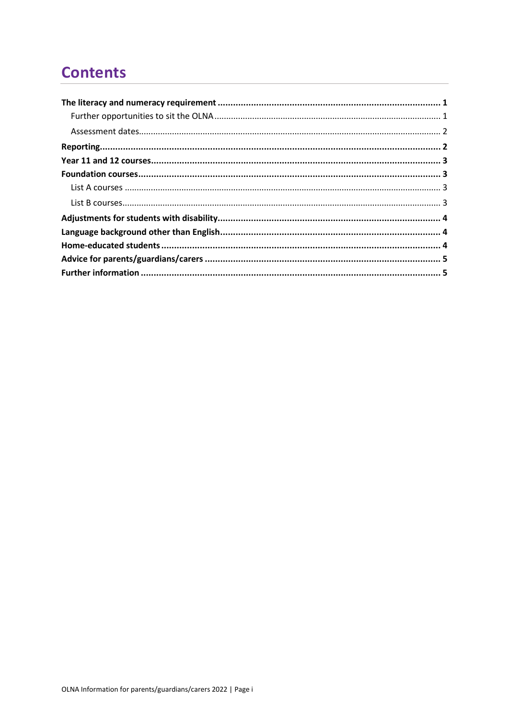# **Contents**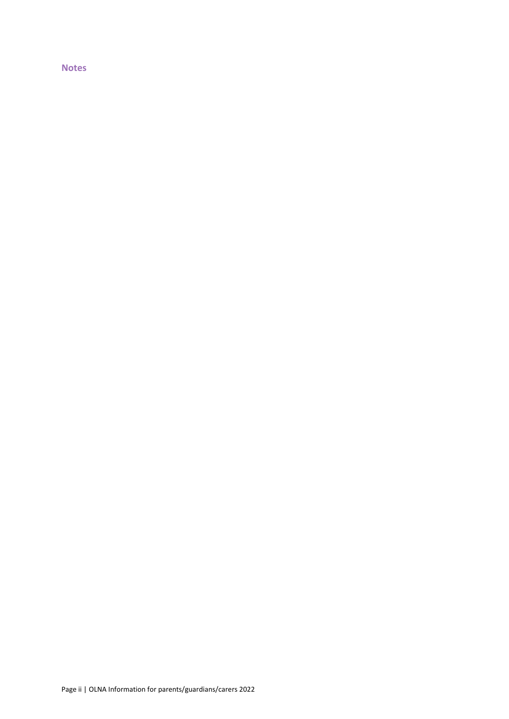**Notes**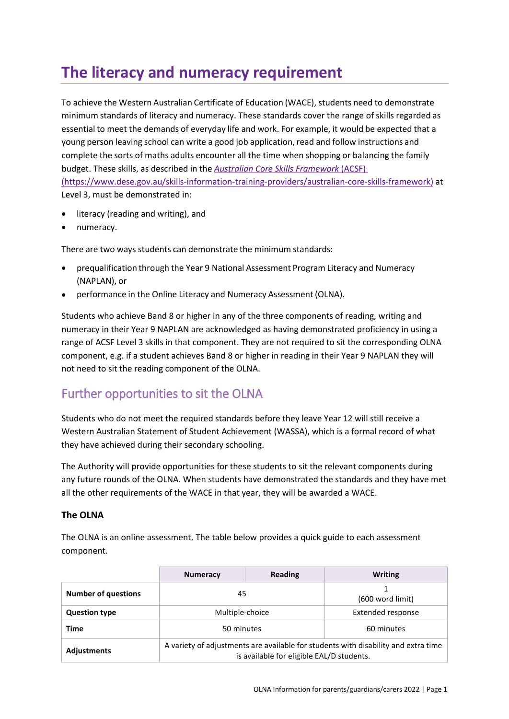# <span id="page-4-0"></span>**The literacy and numeracy requirement**

To achieve the Western Australian Certificate of Education (WACE), students need to demonstrate minimum standards of literacy and numeracy. These standards cover the range of skills regarded as essential to meet the demands of everyday life and work. For example, it would be expected that a young person leaving school can write a good job application, read and follow instructions and complete the sorts of maths adults encounter all the time when shopping or balancing the family budget. These skills, as described in the *[Australian Core Skills Framework](https://www.dese.gov.au/skills-information-training-providers/australian-core-skills-framework)* (ACSF) [\(https://www.dese.gov.au/skills-information-training-providers/australian-core-skills-framework\)](https://www.dese.gov.au/skills-information-training-providers/australian-core-skills-framework) at Level 3, must be demonstrated in:

- literacy (reading and writing), and
- numeracy.

There are two ways students can demonstrate the minimum standards:

- prequalification through the Year 9 National Assessment Program Literacy and Numeracy (NAPLAN), or
- performance in the Online Literacy and Numeracy Assessment (OLNA).

Students who achieve Band 8 or higher in any of the three components of reading, writing and numeracy in their Year 9 NAPLAN are acknowledged as having demonstrated proficiency in using a range of ACSF Level 3 skills in that component. They are not required to sit the corresponding OLNA component, e.g. if a student achieves Band 8 or higher in reading in their Year 9 NAPLAN they will not need to sit the reading component of the OLNA.

#### <span id="page-4-1"></span>Further opportunities to sit the OLNA

Students who do not meet the required standards before they leave Year 12 will still receive a Western Australian Statement of Student Achievement (WASSA), which is a formal record of what they have achieved during their secondary schooling.

The Authority will provide opportunities for these students to sit the relevant components during any future rounds of the OLNA. When students have demonstrated the standards and they have met all the other requirements of the WACE in that year, they will be awarded a WACE.

#### **The OLNA**

The OLNA is an online assessment. The table below provides a quick guide to each assessment component.

|                            | <b>Numeracy</b>                                                                                                                 | Reading | <b>Writing</b>    |  |
|----------------------------|---------------------------------------------------------------------------------------------------------------------------------|---------|-------------------|--|
| <b>Number of questions</b> | 45                                                                                                                              |         | (600 word limit)  |  |
| <b>Question type</b>       | Multiple-choice                                                                                                                 |         | Extended response |  |
| Time                       | 50 minutes                                                                                                                      |         | 60 minutes        |  |
| <b>Adjustments</b>         | A variety of adjustments are available for students with disability and extra time<br>is available for eligible EAL/D students. |         |                   |  |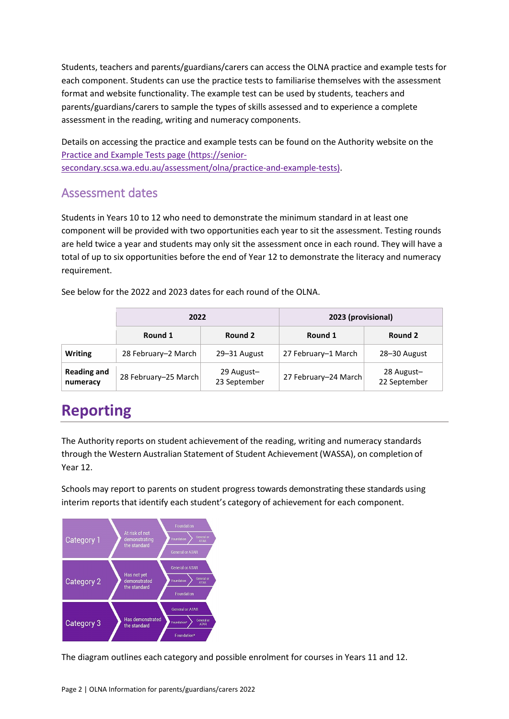Students, teachers and parents/guardians/carers can access the OLNA practice and example tests for each component. Students can use the practice tests to familiarise themselves with the assessment format and website functionality. The example test can be used by students, teachers and parents/guardians/carers to sample the types of skills assessed and to experience a complete assessment in the reading, writing and numeracy components.

Details on accessing the practice and example tests can be found on the Authority website on the [Practice and Example Tests page \(https://senior](https://senior-secondary.scsa.wa.edu.au/assessment/olna/practice-and-example-tests)[secondary.scsa.wa.edu.au/assessment/olna/practice-and-example-tests\).](https://senior-secondary.scsa.wa.edu.au/assessment/olna/practice-and-example-tests)

#### <span id="page-5-0"></span>Assessment dates

Students in Years 10 to 12 who need to demonstrate the minimum standard in at least one component will be provided with two opportunities each year to sit the assessment. Testing rounds are held twice a year and students may only sit the assessment once in each round. They will have a total of up to six opportunities before the end of Year 12 to demonstrate the literacy and numeracy requirement.

See below for the 2022 and 2023 dates for each round of the OLNA.

|                                | 2022                 |                            | 2023 (provisional)   |                            |  |
|--------------------------------|----------------------|----------------------------|----------------------|----------------------------|--|
|                                | Round 1              | Round 2                    | Round 1              | Round 2                    |  |
| <b>Writing</b>                 | 28 February-2 March  | 29-31 August               | 27 February-1 March  | 28-30 August               |  |
| <b>Reading and</b><br>numeracy | 28 February-25 March | 29 August-<br>23 September | 27 February-24 March | 28 August-<br>22 September |  |

### <span id="page-5-1"></span>**Reporting**

The Authority reports on student achievement of the reading, writing and numeracy standards through the Western Australian Statement of Student Achievement (WASSA), on completion of Year 12.

Schools may report to parents on student progress towards demonstrating these standards using interim reports that identify each student's category of achievement for each component.



The diagram outlines each category and possible enrolment for courses in Years 11 and 12.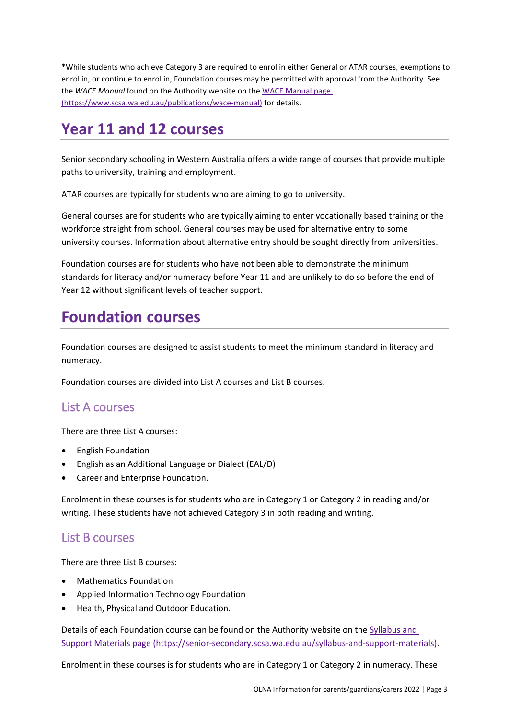\*While students who achieve Category 3 are required to enrol in either General or ATAR courses, exemptions to enrol in, or continue to enrol in, Foundation courses may be permitted with approval from the Authority. See the *WACE Manual* found on the Authority website on the [WACE Manual page](https://www.scsa.wa.edu.au/publications/wace-manual)  [\(https://www.scsa.wa.edu.au/publications/wace-manual\)](https://www.scsa.wa.edu.au/publications/wace-manual) for details.

#### <span id="page-6-0"></span>**Year 11 and 12 courses**

Senior secondary schooling in Western Australia offers a wide range of courses that provide multiple paths to university, training and employment.

ATAR courses are typically for students who are aiming to go to university.

General courses are for students who are typically aiming to enter vocationally based training or the workforce straight from school. General courses may be used for alternative entry to some university courses. Information about alternative entry should be sought directly from universities.

Foundation courses are for students who have not been able to demonstrate the minimum standards for literacy and/or numeracy before Year 11 and are unlikely to do so before the end of Year 12 without significant levels of teacher support.

#### <span id="page-6-1"></span>**Foundation courses**

Foundation courses are designed to assist students to meet the minimum standard in literacy and numeracy.

Foundation courses are divided into List A courses and List B courses.

#### <span id="page-6-2"></span>List A courses

There are three List A courses:

- English Foundation
- English as an Additional Language or Dialect (EAL/D)
- Career and Enterprise Foundation.

Enrolment in these courses is for students who are in Category 1 or Category 2 in reading and/or writing. These students have not achieved Category 3 in both reading and writing.

#### <span id="page-6-3"></span>List B courses

There are three List B courses:

- Mathematics Foundation
- Applied Information Technology Foundation
- Health, Physical and Outdoor Education.

Details of each Foundation course can be found on the Authority website on the [Syllabus and](https://senior-secondary.scsa.wa.edu.au/syllabus-and-support-materials)  [Support Materials page \(https://senior-secondary.scsa.wa.edu.au/syllabus-and-support-materials\).](https://senior-secondary.scsa.wa.edu.au/syllabus-and-support-materials)

Enrolment in these courses is for students who are in Category 1 or Category 2 in numeracy. These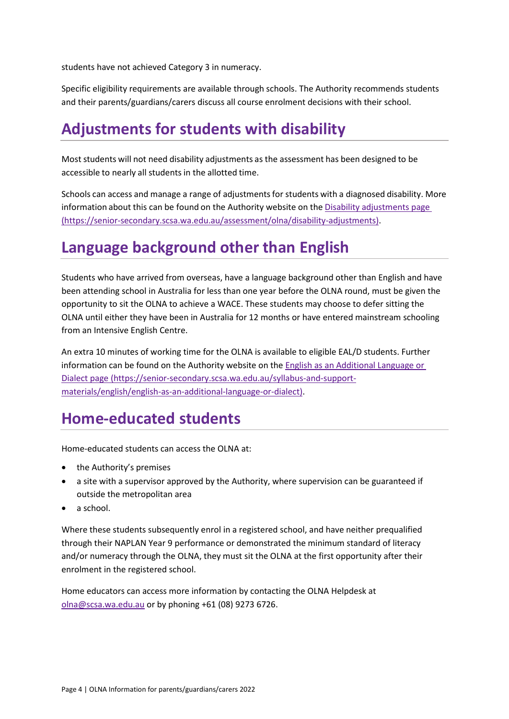students have not achieved Category 3 in numeracy.

Specific eligibility requirements are available through schools. The Authority recommends students and their parents/guardians/carers discuss all course enrolment decisions with their school.

### <span id="page-7-0"></span>**Adjustments for students with disability**

Most students will not need disability adjustments as the assessment has been designed to be accessible to nearly all students in the allotted time.

Schools can access and manage a range of adjustments for students with a diagnosed disability. More information about this can be found on the Authority website on the Disability adjustments page (https://senior-secondary.scsa.wa.edu.au/assessment/olna/disability-adjustments).

#### <span id="page-7-1"></span>**Language background other than English**

Students who have arrived from overseas, have a language background other than English and have been attending school in Australia for less than one year before the OLNA round, must be given the opportunity to sit the OLNA to achieve a WACE. These students may choose to defer sitting the OLNA until either they have been in Australia for 12 months or have entered mainstream schooling from an Intensive English Centre.

An extra 10 minutes of working time for the OLNA is available to eligible EAL/D students. Further information can be found on the Authority website on the [English as an Additional Language or](https://senior-secondary.scsa.wa.edu.au/syllabus-and-support-materials/english/english-as-an-additional-language-or-dialect)  Dialect page [\(https://senior-secondary.scsa.wa.edu.au/syllabus-and-support](https://senior-secondary.scsa.wa.edu.au/syllabus-and-support-materials/english/english-as-an-additional-language-or-dialect)[materials/english/english-as-an-additional-language-or-dialect\).](https://senior-secondary.scsa.wa.edu.au/syllabus-and-support-materials/english/english-as-an-additional-language-or-dialect)

#### <span id="page-7-2"></span>**Home‐educated students**

Home-educated students can access the OLNA at:

- the Authority's premises
- a site with a supervisor approved by the Authority, where supervision can be guaranteed if outside the metropolitan area
- a school.

Where these students subsequently enrol in a registered school, and have neither prequalified through their NAPLAN Year 9 performance or demonstrated the minimum standard of literacy and/or numeracy through the OLNA, they must sit the OLNA at the first opportunity after their enrolment in the registered school.

Home educators can access more information by contacting the OLNA Helpdesk at [olna@scsa.wa.edu.au](mailto:olna@scsa.wa.edu.au) or by phoning +61 (08) 9273 6726.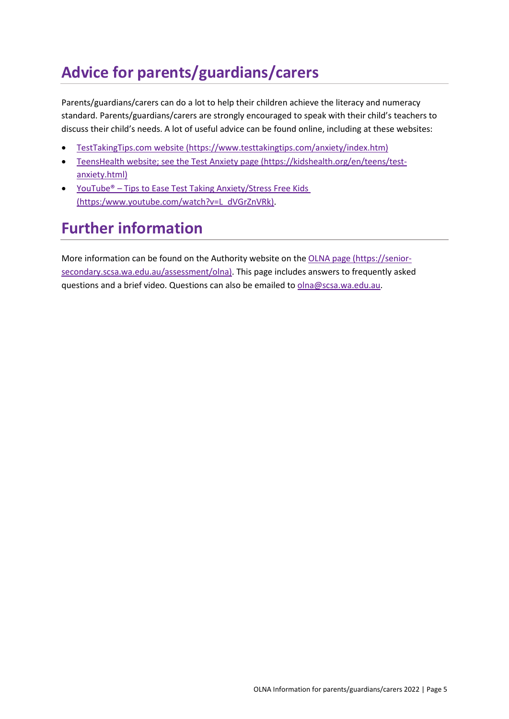# <span id="page-8-0"></span>**Advice for parents/guardians/carers**

Parents/guardians/carers can do a lot to help their children achieve the literacy and numeracy standard. Parents/guardians/carers are strongly encouraged to speak with their child's teachers to discuss their child's needs. A lot of useful advice can be found online, including at these websites:

- [TestTakingTips.com website \(https://www.testtakingtips.com/anxiety/index.htm\)](https://www.testtakingtips.com/anxiety/index.htm)
- [TeensHealth website; see the Test Anxiety page \(https://kidshealth.org/en/teens/test](https://kidshealth.org/en/teens/test-anxiety.html)[anxiety.html\)](https://kidshealth.org/en/teens/test-anxiety.html)
- YouTube<sup>®</sup> [Tips to Ease Test Taking Anxiety/Stress Free Kids](https://www.youtube.com/watch?v=L_dVGrZnVRk) [\(https:/www.youtube.com/watch?v=L\\_dVGrZnVRk\).](https://www.youtube.com/watch?v=L_dVGrZnVRk)

# <span id="page-8-1"></span>**Further information**

More information can be found on the Authority website on the OLNA page [\(https://senior](https://senior-secondary.scsa.wa.edu.au/assessment/olna)[secondary.scsa.wa.edu.au/assessment/olna\).](https://senior-secondary.scsa.wa.edu.au/assessment/olna) This page includes answers to frequently asked questions and a brief video. Questions can also be emailed to [olna@scsa.wa.edu.au.](mailto:olna@scsa.wa.edu.au)